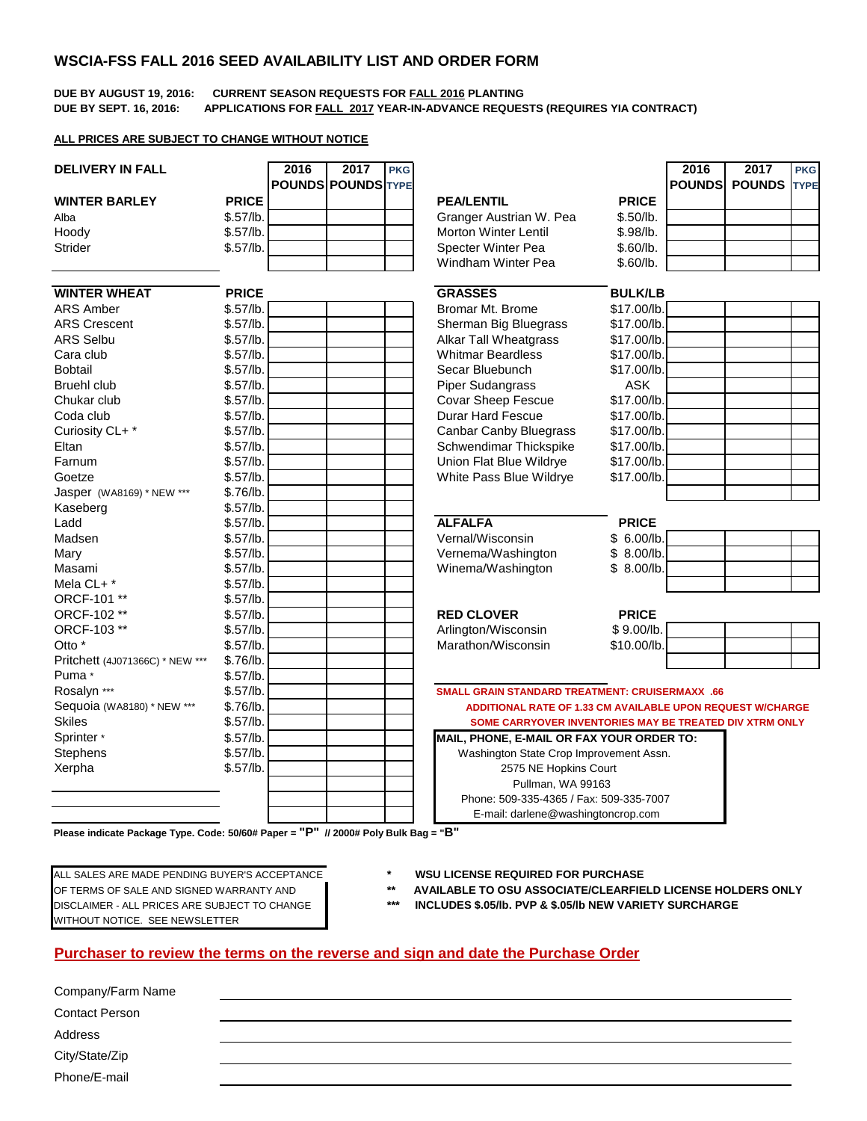## **WSCIA-FSS FALL 2016 SEED AVAILABILITY LIST AND ORDER FORM**

#### **DUE BY AUGUST 19, 2016: CURRENT SEASON REQUESTS FOR FALL 2016 PLANTING DUE BY SEPT. 16, 2016: APPLICATIONS FOR FALL 2017 YEAR-IN-ADVANCE REQUESTS (REQUIRES YIA CONTRACT)**

### **ALL PRICES ARE SUBJECT TO CHANGE WITHOUT NOTICE**

| <b>DELIVERY IN FALL</b>         |              | 2016 | 2017<br><b>POUNDS POUNDS TYPE</b> | <b>PKG</b> |                                                            |                | 2016<br><b>POUNDS</b> | 2017<br><b>POUNDS</b> | <b>PKG</b><br><b>TYPE</b> |
|---------------------------------|--------------|------|-----------------------------------|------------|------------------------------------------------------------|----------------|-----------------------|-----------------------|---------------------------|
| <b>WINTER BARLEY</b>            | <b>PRICE</b> |      |                                   |            | <b>PEA/LENTIL</b>                                          | <b>PRICE</b>   |                       |                       |                           |
| Alba                            | \$.57/lb.    |      |                                   |            | Granger Austrian W. Pea                                    | \$.50/lb.      |                       |                       |                           |
| Hoody                           | \$.57/lb.    |      |                                   |            | Morton Winter Lentil                                       | \$.98/lb.      |                       |                       |                           |
| Strider                         | \$.57/lb.    |      |                                   |            | Specter Winter Pea                                         | \$.60/lb.      |                       |                       |                           |
|                                 |              |      |                                   |            | <b>Windham Winter Pea</b>                                  | \$.60/lb.      |                       |                       |                           |
| <b>WINTER WHEAT</b>             | <b>PRICE</b> |      |                                   |            | <b>GRASSES</b>                                             | <b>BULK/LB</b> |                       |                       |                           |
| ARS Amber                       | \$.57/lb.    |      |                                   |            | Bromar Mt. Brome                                           | \$17.00/lb.    |                       |                       |                           |
| <b>ARS Crescent</b>             | \$.57/lb.    |      |                                   |            | Sherman Big Bluegrass                                      | \$17.00/lb.    |                       |                       |                           |
| <b>ARS Selbu</b>                | \$.57/lb.    |      |                                   |            | <b>Alkar Tall Wheatgrass</b>                               | \$17.00/lb.    |                       |                       |                           |
| Cara club                       | \$.57/lb.    |      |                                   |            | <b>Whitmar Beardless</b>                                   | \$17.00/lb.    |                       |                       |                           |
| <b>Bobtail</b>                  | \$.57/lb.    |      |                                   |            | Secar Bluebunch                                            | \$17.00/lb.    |                       |                       |                           |
| <b>Bruehl club</b>              | \$.57/lb.    |      |                                   |            | <b>Piper Sudangrass</b>                                    | <b>ASK</b>     |                       |                       |                           |
| Chukar club                     | \$.57/lb.    |      |                                   |            | <b>Covar Sheep Fescue</b>                                  | \$17.00/lb.    |                       |                       |                           |
| Coda club                       | \$.57/lb.    |      |                                   |            | Durar Hard Fescue                                          | \$17.00/lb.    |                       |                       |                           |
| Curiosity CL+*                  | \$.57/lb.    |      |                                   |            | <b>Canbar Canby Bluegrass</b>                              | \$17.00/lb.    |                       |                       |                           |
| Eltan                           | \$.57/lb.    |      |                                   |            | Schwendimar Thickspike                                     | \$17.00/lb     |                       |                       |                           |
| Farnum                          | \$.57/lb.    |      |                                   |            | Union Flat Blue Wildrye                                    | \$17.00/lb.    |                       |                       |                           |
| Goetze                          | \$.57/lb.    |      |                                   |            | White Pass Blue Wildrye                                    | \$17.00/lb.    |                       |                       |                           |
| Jasper (WA8169) * NEW ***       | \$.76/lb.    |      |                                   |            |                                                            |                |                       |                       |                           |
| Kaseberg                        | \$.57/lb.    |      |                                   |            |                                                            |                |                       |                       |                           |
| Ladd                            | \$.57/lb.    |      |                                   |            | <b>ALFALFA</b>                                             | <b>PRICE</b>   |                       |                       |                           |
| Madsen                          | \$.57/lb.    |      |                                   |            | Vernal/Wisconsin                                           | \$6.00/lb      |                       |                       |                           |
| Mary                            | \$.57/lb.    |      |                                   |            | Vernema/Washington                                         | \$8.00/lb.     |                       |                       |                           |
| Masami                          | \$.57/lb.    |      |                                   |            | Winema/Washington                                          | \$8.00/lb.     |                       |                       |                           |
| Mela CL+ *                      | \$.57/lb.    |      |                                   |            |                                                            |                |                       |                       |                           |
| ORCF-101 **                     | \$.57/lb.    |      |                                   |            |                                                            |                |                       |                       |                           |
| ORCF-102 **                     | \$.57/lb.    |      |                                   |            | <b>RED CLOVER</b>                                          | <b>PRICE</b>   |                       |                       |                           |
| ORCF-103**                      | \$.57/lb.    |      |                                   |            | Arlington/Wisconsin                                        | \$9.00/lb.     |                       |                       |                           |
| Otto *                          | \$.57/lb.    |      |                                   |            | Marathon/Wisconsin                                         | \$10.00/lb.    |                       |                       |                           |
| Pritchett (4J071366C) * NEW *** | \$.76/lb.    |      |                                   |            |                                                            |                |                       |                       |                           |
| Puma *                          | \$.57/lb.    |      |                                   |            |                                                            |                |                       |                       |                           |
| Rosalyn ***                     | \$.57/lb.    |      |                                   |            | <b>SMALL GRAIN STANDARD TREATMENT: CRUISERMAXX .66</b>     |                |                       |                       |                           |
| Sequoia (WA8180) * NEW ***      | \$.76/lb.    |      |                                   |            | ADDITIONAL RATE OF 1.33 CM AVAILABLE UPON REQUEST W/CHARGE |                |                       |                       |                           |
| <b>Skiles</b>                   | \$.57/lb.    |      |                                   |            | SOME CARRYOVER INVENTORIES MAY BE TREATED DIV XTRM ONLY    |                |                       |                       |                           |
| Sprinter *                      | \$.57/lb.    |      |                                   |            | MAIL, PHONE, E-MAIL OR FAX YOUR ORDER TO:                  |                |                       |                       |                           |
| Stephens                        | \$.57/lb.    |      |                                   |            | Washington State Crop Improvement Assn.                    |                |                       |                       |                           |
| Xerpha                          | \$.57/lb.    |      |                                   |            | 2575 NE Hopkins Court                                      |                |                       |                       |                           |
|                                 |              |      |                                   |            | Pullman, WA 99163                                          |                |                       |                       |                           |
|                                 |              |      |                                   |            | Phone: 509-335-4365 / Fax: 509-335-7007                    |                |                       |                       |                           |
|                                 |              |      |                                   |            | E-mail: darlene@washingtoncrop.com                         |                |                       |                       |                           |

**Please indicate Package Type. Code: 50/60# Paper = "P" // 2000# Poly Bulk Bag = "B"**

DISCLAIMER - ALL PRICES ARE SUBJECT TO CHANGE **\*\*\* INCLUDES \$.05/lb. PVP & \$.05/lb NEW VARIETY SURCHARGE** WITHOUT NOTICE. SEE NEWSLETTER

ALL SALES ARE MADE PENDING BUYER'S ACCEPTANCE **\* WSU LICENSE REQUIRED FOR PURCHASE**

OF TERMS OF SALE AND SIGNED WARRANTY AND **\*\* AVAILABLE TO OSU ASSOCIATE/CLEARFIELD LICENSE HOLDERS ONLY**

### **Purchaser to review the terms on the reverse and sign and date the Purchase Order**

| Company/Farm Name     |  |  |
|-----------------------|--|--|
| <b>Contact Person</b> |  |  |
| Address               |  |  |
| City/State/Zip        |  |  |
| Phone/E-mail          |  |  |